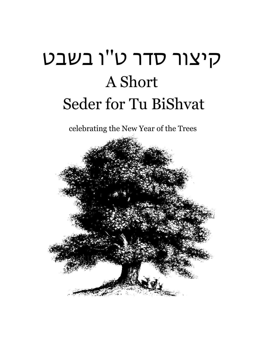# קיצור סדר ט''ו בשבט A Short Seder for Tu BiShvat

celebrating the New Year of the Trees

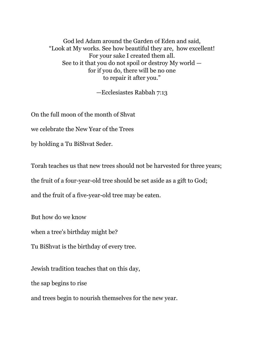God led Adam around the Garden of Eden and said, "Look at My works. See how beautiful they are, how excellent! For your sake I created them all. See to it that you do not spoil or destroy My world for if you do, there will be no one to repair it after you."

—Ecclesiastes Rabbah 7:13

On the full moon of the month of Shvat

we celebrate the New Year of the Trees

by holding a Tu BiShvat Seder.

Torah teaches us that new trees should not be harvested for three years;

the fruit of a four-year-old tree should be set aside as a gift to God;

and the fruit of a five-year-old tree may be eaten.

But how do we know

when a tree's birthday might be?

Tu BiShvat is the birthday of every tree.

Jewish tradition teaches that on this day,

the sap begins to rise

and trees begin to nourish themselves for the new year.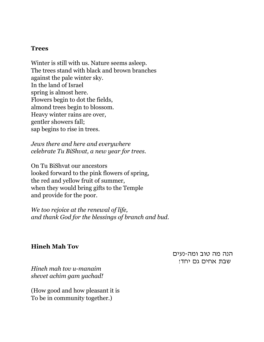#### **Trees**

Winter is still with us. Nature seems asleep. The trees stand with black and brown branches against the pale winter sky. In the land of Israel spring is almost here. Flowers begin to dot the fields, almond trees begin to blossom. Heavy winter rains are over, gentler showers fall; sap begins to rise in trees.

*Jews there and here and everywhere celebrate Tu BiShvat, a new year for trees*.

On Tu BiShvat our ancestors looked forward to the pink flowers of spring, the red and yellow fruit of summer, when they would bring gifts to the Temple and provide for the poor.

*We too rejoice at the renewal of life, and thank God for the blessings of branch and bud.*

#### **Hineh Mah Tov**

הנה מה טוב ומה–נעים שבת אחים גם יחד!

*Hineh mah tov u-manaim shevet achim gam yachad!* 

(How good and how pleasant it is To be in community together.)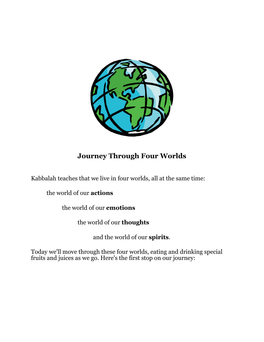

# **Journey Through Four Worlds**

Kabbalah teaches that we live in four worlds, all at the same time:

the world of our **actions**

the world of our **emotions**

the world of our **thoughts**

and the world of our **spirits**.

Today we'll move through these four worlds, eating and drinking special fruits and juices as we go. Here's the first stop on our journey: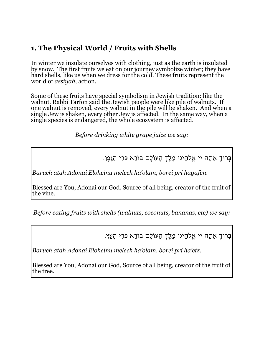# **1. The Physical World / Fruits with Shells**

In winter we insulate ourselves with clothing, just as the earth is insulated by snow. The first fruits we eat on our journey symbolize winter; they have hard shells, like us when we dress for the cold. These fruits represent the world of *assiyah*, action.

Some of these fruits have special symbolism in Jewish tradition: like the walnut. Rabbi Tarfon said the Jewish people were like pile of walnuts. If one walnut is removed, every walnut in the pile will be shaken. And when a single Jew is shaken, every other Jew is affected. In the same way, when a single species is endangered, the whole ecosystem is affected.

*Before drinking white grape juice we say:*

בָּרוּךְ אַתָּה יי אֱלֹהֵינוּ מֶלֶךְ הָעוֹלָם בּוֹרֵא פְּרִי הַגָּפֶן.

*Baruch atah Adonai Eloheinu melech ha'olam, borei pri hagafen.*

Blessed are You, Adonai our God, Source of all being, creator of the fruit of the vine.

*Before eating fruits with shells (walnuts, coconuts, bananas, etc) we say:*

בָּרוּךְ אַתָּה יי אֱלֹהֵינוּ מֶלֶךְ הָעוֹלָם בּוֹרֵא פְּרִי הָעֵץ.

*Baruch atah Adonai Eloheinu melech ha'olam, borei pri ha'etz.*

Blessed are You, Adonai our God, Source of all being, creator of the fruit of the tree.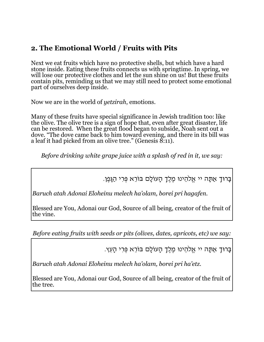# **2. The Emotional World / Fruits with Pits**

Next we eat fruits which have no protective shells, but which have a hard stone inside. Eating these fruits connects us with springtime. In spring, we will lose our protective clothes and let the sun shine on us! But these fruits contain pits, reminding us that we may still need to protect some emotional part of ourselves deep inside.

Now we are in the world of *yetzirah*, emotions.

Many of these fruits have special significance in Jewish tradition too: like the olive. The olive tree is a sign of hope that, even after great disaster, life can be restored. When the great flood began to subside, Noah sent out a dove. "The dove came back to him toward evening, and there in its bill was a leaf it had picked from an olive tree." (Genesis  $\tilde{8:}11$ ).

*Before drinking white grape juice with a splash of red in it, we say:*

בָּרוּךְ אַתָּה יי אֱלֹהֵינוּ מֶלֶךְ הָעוֹלָם בּוֹרֵא פְּרִי הַגָּפֶן.

*Baruch atah Adonai Eloheinu melech ha'olam, borei pri hagafen.*

Blessed are You, Adonai our God, Source of all being, creator of the fruit of the vine.

*Before eating fruits with seeds or pits (olives, dates, apricots, etc) we say:*

בָּרוּךְ אַתָּה יי אֱלֹהֵינוּ מֶלֶךְ הָעוֹלָם בּוֹרֵא פְּרִי הָעֵץ.

*Baruch atah Adonai Eloheinu melech ha'olam, borei pri ha'etz.*

Blessed are You, Adonai our God, Source of all being, creator of the fruit of the tree.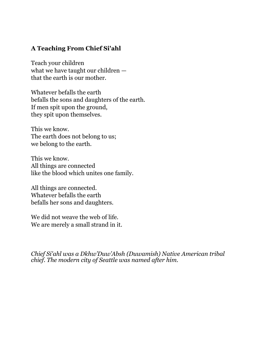#### **A Teaching From Chief Si'ahl**

Teach your children what we have taught our children that the earth is our mother.

Whatever befalls the earth befalls the sons and daughters of the earth. If men spit upon the ground, they spit upon themselves.

This we know. The earth does not belong to us; we belong to the earth.

This we know. All things are connected like the blood which unites one family.

All things are connected. Whatever befalls the earth befalls her sons and daughters.

We did not weave the web of life. We are merely a small strand in it.

*Chief Si'ahl was a Dkhw'Duw'Absh (Duwamish) Native American tribal chief. The modern city of Seattle was named after him.*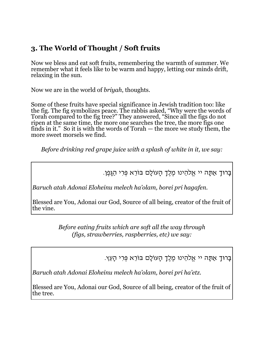# **3. The World of Thought / Soft fruits**

Now we bless and eat soft fruits, remembering the warmth of summer. We remember what it feels like to be warm and happy, letting our minds drift, relaxing in the sun.

Now we are in the world of *briyah*, thoughts.

Some of these fruits have special significance in Jewish tradition too: like the fig. The fig symbolizes peace. The rabbis asked, "Why were the words of Torah compared to the fig tree?" They answered, "Since all the figs do not ripen at the same time, the more one searches the tree, the more figs one finds in it." So it is with the words of Torah — the more we study them, the more sweet morsels we find.

*Before drinking red grape juice with a splash of white in it, we say:*

בָּרוּךְ אַתָּה יי אֱלֹהֵינוּ מֶלֶךְ הָעוֹלָם בּוֹרֵא פְּרִי הַגָּפֶן.

*Baruch atah Adonai Eloheinu melech ha'olam, borei pri hagafen.*

Blessed are You, Adonai our God, Source of all being, creator of the fruit of the vine.

> *Before eating fruits which are soft all the way through (figs, strawberries, raspberries, etc) we say:*

> > בָּרוּךְ אַתָּה יי אֱלֹהֵינוּ מֶלֶךְ הָעוֹלָם בּוֹרֵא פְּרִי הָעֵץ.

*Baruch atah Adonai Eloheinu melech ha'olam, borei pri ha'etz.*

Blessed are You, Adonai our God, Source of all being, creator of the fruit of the tree.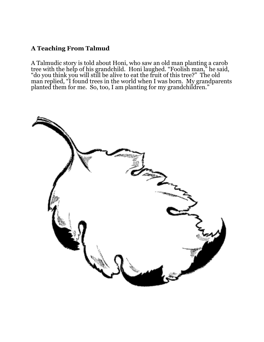#### **A Teaching From Talmud**

A Talmudic story is told about Honi, who saw an old man planting a carob tree with the help of his grandchild. Honi laughed. "Foolish man," he said, "do you think you will still be alive to eat the fruit of this tree?" The old man replied, "I found trees in the world when I was born. My grandparents planted them for me. So, too, I am planting for my grandchildren."

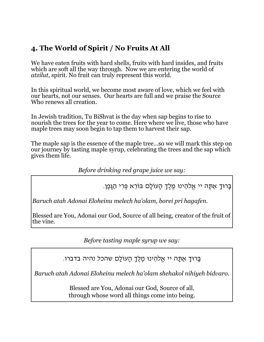# **4. The World of Spirit / No Fruits At All**

We have eaten fruits with hard shells, fruits with hard insides, and fruits which are soft all the way through. Now we are entering the world of *atzilut*, spirit. No fruit can truly represent this world.

In this spiritual world, we become most aware of love, which we feel with our hearts, not our senses. Our hearts are full and we praise the Source Who renews all creation.

In Jewish tradition, Tu BiShvat is the day when sap begins to rise to nourish the trees for the year to come. Here where we live, those who have maple trees may soon begin to tap them to harvest their sap.

The maple sap is the essence of the maple tree…so we will mark this step on our journey by tasting maple syrup, celebrating the trees and the sap which gives them life.

*Before drinking red grape juice we say:*

בָּרוּךְ אַתָּה יי אֱלֹהֵינוּ מֶלֶךְ הָעוֹלָם בּוֹרֵא פְּרִי הַגָּפֶן.

*Baruch atah Adonai Eloheinu melech ha'olam, borei pri hagafen.*

Blessed are You, Adonai our God, Source of all being, creator of the fruit of the vine.

*Before tasting maple syrup we say:*

בָּרוּךְ אַתָּה יי אֱלֹהֵינוּ מֶלֶךְ הָעוֹלָם שהכל נהיה בדברו.

*Baruch atah Adonai Eloheinu melech ha'olam shehakol nihiyeh bidvaro.*

Blessed are You, Adonai our God, Source of all, through whose word all things come into being.